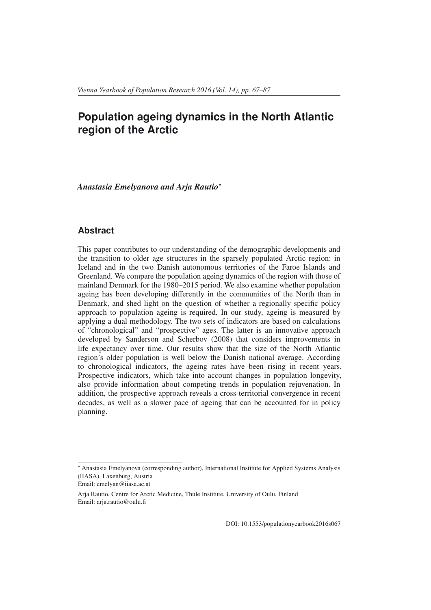# **Population ageing dynamics in the North Atlantic region of the Arctic**

*Anastasia Emelyanova and Arja Rautio*<sup>∗</sup>

### **Abstract**

This paper contributes to our understanding of the demographic developments and the transition to older age structures in the sparsely populated Arctic region: in Iceland and in the two Danish autonomous territories of the Faroe Islands and Greenland. We compare the population ageing dynamics of the region with those of mainland Denmark for the 1980–2015 period. We also examine whether population ageing has been developing differently in the communities of the North than in Denmark, and shed light on the question of whether a regionally specific policy approach to population ageing is required. In our study, ageing is measured by applying a dual methodology. The two sets of indicators are based on calculations of "chronological" and "prospective" ages. The latter is an innovative approach developed by Sanderson and Scherbov (2008) that considers improvements in life expectancy over time. Our results show that the size of the North Atlantic region's older population is well below the Danish national average. According to chronological indicators, the ageing rates have been rising in recent years. Prospective indicators, which take into account changes in population longevity, also provide information about competing trends in population rejuvenation. In addition, the prospective approach reveals a cross-territorial convergence in recent decades, as well as a slower pace of ageing that can be accounted for in policy planning.

DOI: 10.1553/populationyearbook2016s067

<sup>∗</sup> Anastasia Emelyanova (corresponding author), International Institute for Applied Systems Analysis (IIASA), Laxenburg, Austria

Email: emelyan@iiasa.ac.at

Arja Rautio, Centre for Arctic Medicine, Thule Institute, University of Oulu, Finland Email: arja.rautio@oulu.fi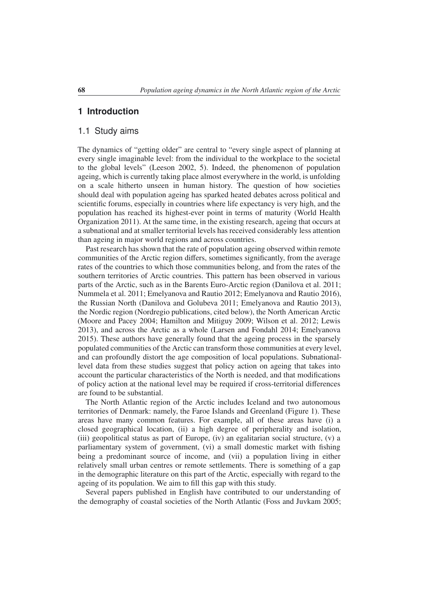# **1 Introduction**

# 1.1 Study aims

The dynamics of "getting older" are central to "every single aspect of planning at every single imaginable level: from the individual to the workplace to the societal to the global levels" (Leeson 2002, 5). Indeed, the phenomenon of population ageing, which is currently taking place almost everywhere in the world, is unfolding on a scale hitherto unseen in human history. The question of how societies should deal with population ageing has sparked heated debates across political and scientific forums, especially in countries where life expectancy is very high, and the population has reached its highest-ever point in terms of maturity (World Health Organization 2011). At the same time, in the existing research, ageing that occurs at a subnational and at smaller territorial levels has received considerably less attention than ageing in major world regions and across countries.

Past research has shown that the rate of population ageing observed within remote communities of the Arctic region differs, sometimes significantly, from the average rates of the countries to which those communities belong, and from the rates of the southern territories of Arctic countries. This pattern has been observed in various parts of the Arctic, such as in the Barents Euro-Arctic region (Danilova et al. 2011; Nummela et al. 2011; Emelyanova and Rautio 2012; Emelyanova and Rautio 2016), the Russian North (Danilova and Golubeva 2011; Emelyanova and Rautio 2013), the Nordic region (Nordregio publications, cited below), the North American Arctic (Moore and Pacey 2004; Hamilton and Mitiguy 2009; Wilson et al. 2012; Lewis 2013), and across the Arctic as a whole (Larsen and Fondahl 2014; Emelyanova 2015). These authors have generally found that the ageing process in the sparsely populated communities of the Arctic can transform those communities at every level, and can profoundly distort the age composition of local populations. Subnationallevel data from these studies suggest that policy action on ageing that takes into account the particular characteristics of the North is needed, and that modifications of policy action at the national level may be required if cross-territorial differences are found to be substantial.

The North Atlantic region of the Arctic includes Iceland and two autonomous territories of Denmark: namely, the Faroe Islands and Greenland (Figure 1). These areas have many common features. For example, all of these areas have (i) a closed geographical location, (ii) a high degree of peripherality and isolation, (iii) geopolitical status as part of Europe, (iv) an egalitarian social structure, (v) a parliamentary system of government, (vi) a small domestic market with fishing being a predominant source of income, and (vii) a population living in either relatively small urban centres or remote settlements. There is something of a gap in the demographic literature on this part of the Arctic, especially with regard to the ageing of its population. We aim to fill this gap with this study.

Several papers published in English have contributed to our understanding of the demography of coastal societies of the North Atlantic (Foss and Juvkam 2005;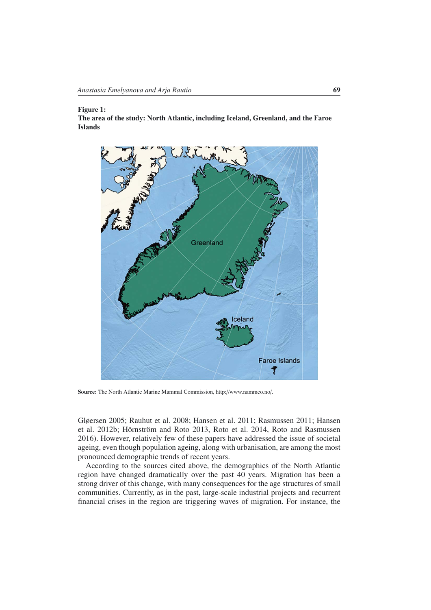#### Figure 1:

The area of the study: North Atlantic, including Iceland, Greenland, and the Faroe Islands



Source: The North Atlantic Marine Mammal Commission, http://www.nammco.no/.

Gløersen 2005; Rauhut et al. 2008; Hansen et al. 2011; Rasmussen 2011; Hansen et al. 2012b; Hörnström and Roto 2013, Roto et al. 2014, Roto and Rasmussen 2016). However, relatively few of these papers have addressed the issue of societal ageing, even though population ageing, along with urbanisation, are among the most pronounced demographic trends of recent years.

According to the sources cited above, the demographics of the North Atlantic region have changed dramatically over the past 40 years. Migration has been a strong driver of this change, with many consequences for the age structures of small communities. Currently, as in the past, large-scale industrial projects and recurrent financial crises in the region are triggering waves of migration. For instance, the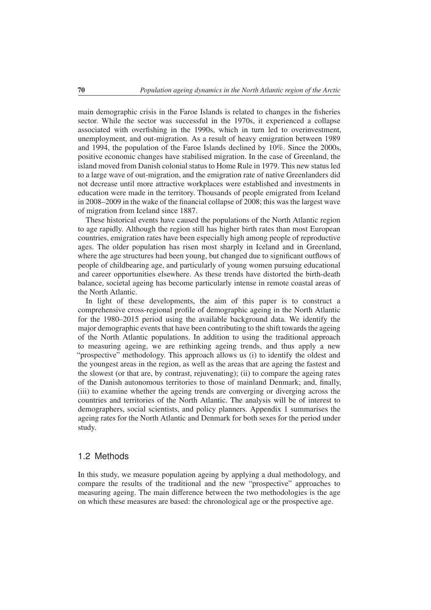main demographic crisis in the Faroe Islands is related to changes in the fisheries sector. While the sector was successful in the 1970s, it experienced a collapse associated with overfishing in the 1990s, which in turn led to overinvestment, unemployment, and out-migration. As a result of heavy emigration between 1989 and 1994, the population of the Faroe Islands declined by 10%. Since the 2000s, positive economic changes have stabilised migration. In the case of Greenland, the island moved from Danish colonial status to Home Rule in 1979. This new status led to a large wave of out-migration, and the emigration rate of native Greenlanders did not decrease until more attractive workplaces were established and investments in education were made in the territory. Thousands of people emigrated from Iceland in 2008–2009 in the wake of the financial collapse of 2008; this was the largest wave of migration from Iceland since 1887.

These historical events have caused the populations of the North Atlantic region to age rapidly. Although the region still has higher birth rates than most European countries, emigration rates have been especially high among people of reproductive ages. The older population has risen most sharply in Iceland and in Greenland, where the age structures had been young, but changed due to significant outflows of people of childbearing age, and particularly of young women pursuing educational and career opportunities elsewhere. As these trends have distorted the birth-death balance, societal ageing has become particularly intense in remote coastal areas of the North Atlantic.

In light of these developments, the aim of this paper is to construct a comprehensive cross-regional profile of demographic ageing in the North Atlantic for the 1980–2015 period using the available background data. We identify the major demographic events that have been contributing to the shift towards the ageing of the North Atlantic populations. In addition to using the traditional approach to measuring ageing, we are rethinking ageing trends, and thus apply a new "prospective" methodology. This approach allows us (i) to identify the oldest and the youngest areas in the region, as well as the areas that are ageing the fastest and the slowest (or that are, by contrast, rejuvenating); (ii) to compare the ageing rates of the Danish autonomous territories to those of mainland Denmark; and, finally, (iii) to examine whether the ageing trends are converging or diverging across the countries and territories of the North Atlantic. The analysis will be of interest to demographers, social scientists, and policy planners. Appendix 1 summarises the ageing rates for the North Atlantic and Denmark for both sexes for the period under study.

# 1.2 Methods

In this study, we measure population ageing by applying a dual methodology, and compare the results of the traditional and the new "prospective" approaches to measuring ageing. The main difference between the two methodologies is the age on which these measures are based: the chronological age or the prospective age.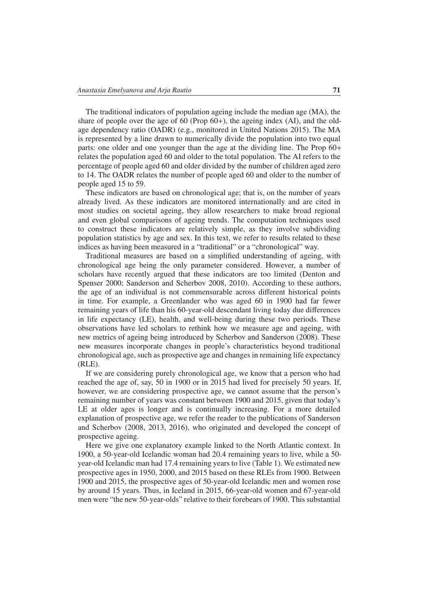The traditional indicators of population ageing include the median age (MA), the share of people over the age of 60 (Prop  $60+$ ), the ageing index (AI), and the oldage dependency ratio (OADR) (e.g., monitored in United Nations 2015). The MA is represented by a line drawn to numerically divide the population into two equal parts: one older and one younger than the age at the dividing line. The Prop 60+ relates the population aged 60 and older to the total population. The AI refers to the percentage of people aged 60 and older divided by the number of children aged zero to 14. The OADR relates the number of people aged 60 and older to the number of people aged 15 to 59.

These indicators are based on chronological age; that is, on the number of years already lived. As these indicators are monitored internationally and are cited in most studies on societal ageing, they allow researchers to make broad regional and even global comparisons of ageing trends. The computation techniques used to construct these indicators are relatively simple, as they involve subdividing population statistics by age and sex. In this text, we refer to results related to these indices as having been measured in a "traditional" or a "chronological" way.

Traditional measures are based on a simplified understanding of ageing, with chronological age being the only parameter considered. However, a number of scholars have recently argued that these indicators are too limited (Denton and Spenser 2000; Sanderson and Scherbov 2008, 2010). According to these authors, the age of an individual is not commensurable across different historical points in time. For example, a Greenlander who was aged 60 in 1900 had far fewer remaining years of life than his 60-year-old descendant living today due differences in life expectancy (LE), health, and well-being during these two periods. These observations have led scholars to rethink how we measure age and ageing, with new metrics of ageing being introduced by Scherbov and Sanderson (2008). These new measures incorporate changes in people's characteristics beyond traditional chronological age, such as prospective age and changes in remaining life expectancy  $(RLE)$ .

If we are considering purely chronological age, we know that a person who had reached the age of, say, 50 in 1900 or in 2015 had lived for precisely 50 years. If, however, we are considering prospective age, we cannot assume that the person's remaining number of years was constant between 1900 and 2015, given that today's LE at older ages is longer and is continually increasing. For a more detailed explanation of prospective age, we refer the reader to the publications of Sanderson and Scherbov (2008, 2013, 2016), who originated and developed the concept of prospective ageing.

Here we give one explanatory example linked to the North Atlantic context. In 1900, a 50-year-old Icelandic woman had 20.4 remaining years to live, while a 50 year-old Icelandic man had 17.4 remaining years to live (Table 1). We estimated new prospective ages in 1950, 2000, and 2015 based on these RLEs from 1900. Between 1900 and 2015, the prospective ages of 50-year-old Icelandic men and women rose by around 15 years. Thus, in Iceland in 2015, 66-year-old women and 67-year-old men were "the new 50-year-olds" relative to their forebears of 1900. This substantial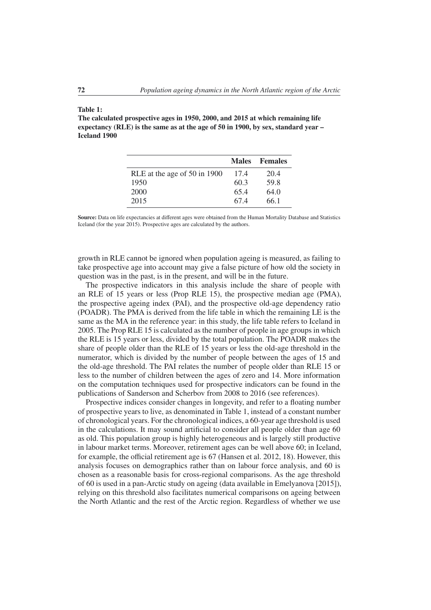#### Table 1:

The calculated prospective ages in 1950, 2000, and 2015 at which remaining life expectancy (RLE) is the same as at the age of 50 in 1900, by sex, standard year – Iceland 1900

|                              | <b>Males</b> | <b>Females</b> |
|------------------------------|--------------|----------------|
| RLE at the age of 50 in 1900 | 17.4         | 20.4           |
| 1950                         | 60.3         | 59.8           |
| 2000                         | 65.4         | 64.0           |
| 2015                         | 67.4         | 66.1           |

Source: Data on life expectancies at different ages were obtained from the Human Mortality Database and Statistics Iceland (for the year 2015). Prospective ages are calculated by the authors.

growth in RLE cannot be ignored when population ageing is measured, as failing to take prospective age into account may give a false picture of how old the society in question was in the past, is in the present, and will be in the future.

The prospective indicators in this analysis include the share of people with an RLE of 15 years or less (Prop RLE 15), the prospective median age (PMA), the prospective ageing index (PAI), and the prospective old-age dependency ratio (POADR). The PMA is derived from the life table in which the remaining LE is the same as the MA in the reference year: in this study, the life table refers to Iceland in 2005. The Prop RLE 15 is calculated as the number of people in age groups in which the RLE is 15 years or less, divided by the total population. The POADR makes the share of people older than the RLE of 15 years or less the old-age threshold in the numerator, which is divided by the number of people between the ages of 15 and the old-age threshold. The PAI relates the number of people older than RLE 15 or less to the number of children between the ages of zero and 14. More information on the computation techniques used for prospective indicators can be found in the publications of Sanderson and Scherbov from 2008 to 2016 (see references).

Prospective indices consider changes in longevity, and refer to a floating number of prospective years to live, as denominated in Table 1, instead of a constant number of chronological years. For the chronological indices, a 60-year age threshold is used in the calculations. It may sound artificial to consider all people older than age 60 as old. This population group is highly heterogeneous and is largely still productive in labour market terms. Moreover, retirement ages can be well above 60; in Iceland, for example, the official retirement age is 67 (Hansen et al. 2012, 18). However, this analysis focuses on demographics rather than on labour force analysis, and 60 is chosen as a reasonable basis for cross-regional comparisons. As the age threshold of 60 is used in a pan-Arctic study on ageing (data available in Emelyanova [2015]), relying on this threshold also facilitates numerical comparisons on ageing between the North Atlantic and the rest of the Arctic region. Regardless of whether we use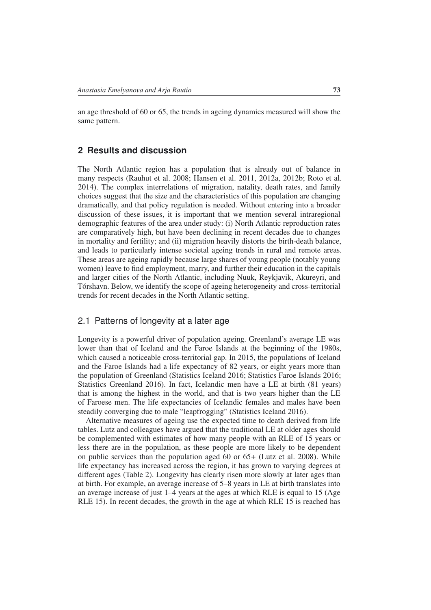an age threshold of 60 or 65, the trends in ageing dynamics measured will show the same pattern.

#### **2 Results and discussion**

The North Atlantic region has a population that is already out of balance in many respects (Rauhut et al. 2008; Hansen et al. 2011, 2012a, 2012b; Roto et al. 2014). The complex interrelations of migration, natality, death rates, and family choices suggest that the size and the characteristics of this population are changing dramatically, and that policy regulation is needed. Without entering into a broader discussion of these issues, it is important that we mention several intraregional demographic features of the area under study: (i) North Atlantic reproduction rates are comparatively high, but have been declining in recent decades due to changes in mortality and fertility; and (ii) migration heavily distorts the birth-death balance, and leads to particularly intense societal ageing trends in rural and remote areas. These areas are ageing rapidly because large shares of young people (notably young women) leave to find employment, marry, and further their education in the capitals and larger cities of the North Atlantic, including Nuuk, Reykjavik, Akureyri, and Torshavn. Below, we identify the scope of ageing heterogeneity and cross-territorial ´ trends for recent decades in the North Atlantic setting.

#### 2.1 Patterns of longevity at a later age

Longevity is a powerful driver of population ageing. Greenland's average LE was lower than that of Iceland and the Faroe Islands at the beginning of the 1980s, which caused a noticeable cross-territorial gap. In 2015, the populations of Iceland and the Faroe Islands had a life expectancy of 82 years, or eight years more than the population of Greenland (Statistics Iceland 2016; Statistics Faroe Islands 2016; Statistics Greenland 2016). In fact, Icelandic men have a LE at birth (81 years) that is among the highest in the world, and that is two years higher than the LE of Faroese men. The life expectancies of Icelandic females and males have been steadily converging due to male "leapfrogging" (Statistics Iceland 2016).

Alternative measures of ageing use the expected time to death derived from life tables. Lutz and colleagues have argued that the traditional LE at older ages should be complemented with estimates of how many people with an RLE of 15 years or less there are in the population, as these people are more likely to be dependent on public services than the population aged 60 or 65+ (Lutz et al. 2008). While life expectancy has increased across the region, it has grown to varying degrees at different ages (Table 2). Longevity has clearly risen more slowly at later ages than at birth. For example, an average increase of 5–8 years in LE at birth translates into an average increase of just 1–4 years at the ages at which RLE is equal to 15 (Age RLE 15). In recent decades, the growth in the age at which RLE 15 is reached has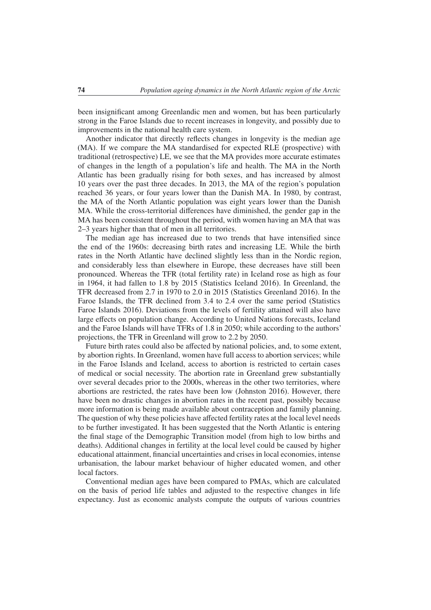been insignificant among Greenlandic men and women, but has been particularly strong in the Faroe Islands due to recent increases in longevity, and possibly due to improvements in the national health care system.

Another indicator that directly reflects changes in longevity is the median age (MA). If we compare the MA standardised for expected RLE (prospective) with traditional (retrospective) LE, we see that the MA provides more accurate estimates of changes in the length of a population's life and health. The MA in the North Atlantic has been gradually rising for both sexes, and has increased by almost 10 years over the past three decades. In 2013, the MA of the region's population reached 36 years, or four years lower than the Danish MA. In 1980, by contrast, the MA of the North Atlantic population was eight years lower than the Danish MA. While the cross-territorial differences have diminished, the gender gap in the MA has been consistent throughout the period, with women having an MA that was 2–3 years higher than that of men in all territories.

The median age has increased due to two trends that have intensified since the end of the 1960s: decreasing birth rates and increasing LE. While the birth rates in the North Atlantic have declined slightly less than in the Nordic region, and considerably less than elsewhere in Europe, these decreases have still been pronounced. Whereas the TFR (total fertility rate) in Iceland rose as high as four in 1964, it had fallen to 1.8 by 2015 (Statistics Iceland 2016). In Greenland, the TFR decreased from 2.7 in 1970 to 2.0 in 2015 (Statistics Greenland 2016). In the Faroe Islands, the TFR declined from 3.4 to 2.4 over the same period (Statistics Faroe Islands 2016). Deviations from the levels of fertility attained will also have large effects on population change. According to United Nations forecasts, Iceland and the Faroe Islands will have TFRs of 1.8 in 2050; while according to the authors' projections, the TFR in Greenland will grow to 2.2 by 2050.

Future birth rates could also be affected by national policies, and, to some extent, by abortion rights. In Greenland, women have full access to abortion services; while in the Faroe Islands and Iceland, access to abortion is restricted to certain cases of medical or social necessity. The abortion rate in Greenland grew substantially over several decades prior to the 2000s, whereas in the other two territories, where abortions are restricted, the rates have been low (Johnston 2016). However, there have been no drastic changes in abortion rates in the recent past, possibly because more information is being made available about contraception and family planning. The question of why these policies have affected fertility rates at the local level needs to be further investigated. It has been suggested that the North Atlantic is entering the final stage of the Demographic Transition model (from high to low births and deaths). Additional changes in fertility at the local level could be caused by higher educational attainment, financial uncertainties and crises in local economies, intense urbanisation, the labour market behaviour of higher educated women, and other local factors.

Conventional median ages have been compared to PMAs, which are calculated on the basis of period life tables and adjusted to the respective changes in life expectancy. Just as economic analysts compute the outputs of various countries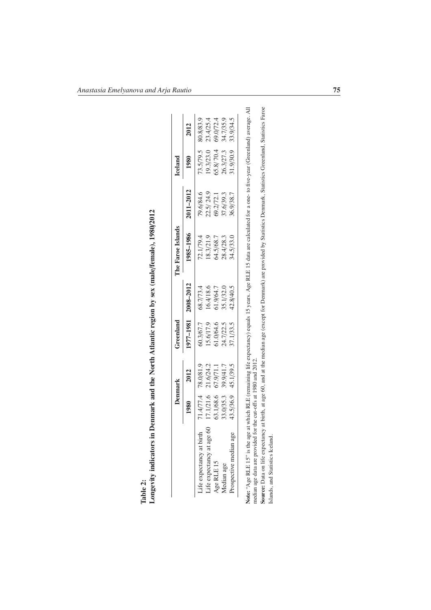|                           |           | Denmark   | Greenland |           | The Faroe Islands |           | <b>Iceland</b> |           |
|---------------------------|-----------|-----------|-----------|-----------|-------------------|-----------|----------------|-----------|
|                           | 1980      | 2012      | 1977-1981 | 2008-2012 | 1985-1986         | 2011-2012 | 1980           | 2012      |
| Life expectancy at birth  | 71.4/77.4 | 78.0/81.9 | 60.3/67.7 | 68.7/73.4 | 72.1/79.4         | 79.6/84.6 | 73.5/79.5      | 80.8/83.9 |
| Life expectancy at age 60 | 17.1/21.6 | 21.6/24.2 | 15.6/17.9 | 16.4/18.6 | 18.3/21.9         | 22.5/24.9 | 19.3/23.0      | 23.4/25.4 |
| Age RLE 15                | 63.1/68.6 | 67.9/71.1 | 61.0/64.6 | 61.9/64.7 | 64.5/68.7         | 69.2/72.1 | 65.8/70.4      | 69.0/72.4 |
| Median age                | 33.0/35.3 | 39.9/41.7 | 24.7/22.5 | 35.1/32.0 | 28.4/28.3         | 37.6/39.3 | 26.3/27.3      | 34.7/35.9 |
| Prospective median age    | 43.5/36.9 | 45.1/39.5 | 37.1/33.5 | 42.8/40.5 | 34.5/33.0         | 36.9/38.7 | 31.9/30.9      | 33.9/34.5 |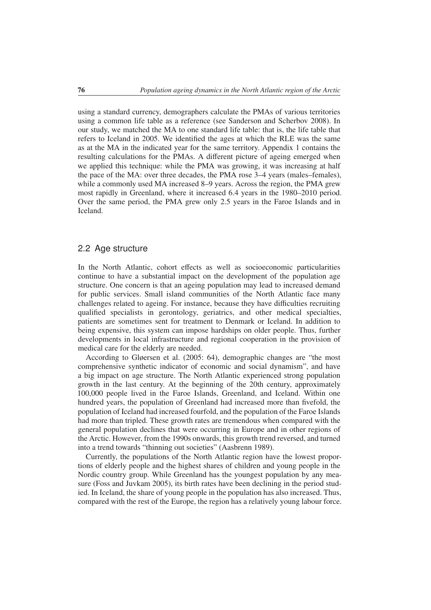using a standard currency, demographers calculate the PMAs of various territories using a common life table as a reference (see Sanderson and Scherbov 2008). In our study, we matched the MA to one standard life table: that is, the life table that refers to Iceland in 2005. We identified the ages at which the RLE was the same as at the MA in the indicated year for the same territory. Appendix 1 contains the resulting calculations for the PMAs. A different picture of ageing emerged when we applied this technique: while the PMA was growing, it was increasing at half the pace of the MA: over three decades, the PMA rose 3–4 years (males–females), while a commonly used MA increased 8–9 years. Across the region, the PMA grew most rapidly in Greenland, where it increased 6.4 years in the 1980–2010 period. Over the same period, the PMA grew only 2.5 years in the Faroe Islands and in Iceland.

#### 2.2 Age structure

In the North Atlantic, cohort effects as well as socioeconomic particularities continue to have a substantial impact on the development of the population age structure. One concern is that an ageing population may lead to increased demand for public services. Small island communities of the North Atlantic face many challenges related to ageing. For instance, because they have difficulties recruiting qualified specialists in gerontology, geriatrics, and other medical specialties, patients are sometimes sent for treatment to Denmark or Iceland. In addition to being expensive, this system can impose hardships on older people. Thus, further developments in local infrastructure and regional cooperation in the provision of medical care for the elderly are needed.

According to Gløersen et al. (2005: 64), demographic changes are "the most comprehensive synthetic indicator of economic and social dynamism", and have a big impact on age structure. The North Atlantic experienced strong population growth in the last century. At the beginning of the 20th century, approximately 100,000 people lived in the Faroe Islands, Greenland, and Iceland. Within one hundred years, the population of Greenland had increased more than fivefold, the population of Iceland had increased fourfold, and the population of the Faroe Islands had more than tripled. These growth rates are tremendous when compared with the general population declines that were occurring in Europe and in other regions of the Arctic. However, from the 1990s onwards, this growth trend reversed, and turned into a trend towards "thinning out societies" (Aasbrenn 1989).

Currently, the populations of the North Atlantic region have the lowest proportions of elderly people and the highest shares of children and young people in the Nordic country group. While Greenland has the youngest population by any measure (Foss and Juvkam 2005), its birth rates have been declining in the period studied. In Iceland, the share of young people in the population has also increased. Thus, compared with the rest of the Europe, the region has a relatively young labour force.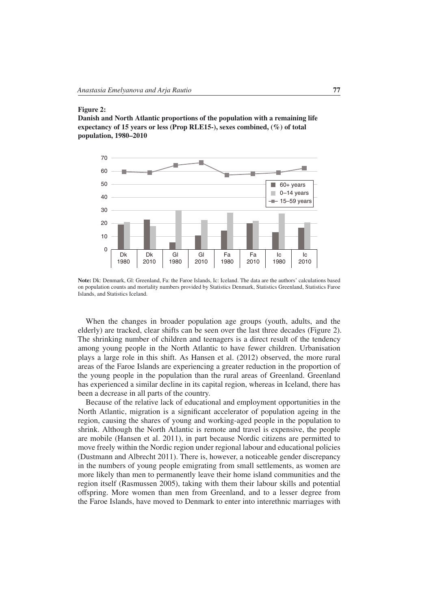#### Figure 2:

Danish and North Atlantic proportions of the population with a remaining life expectancy of 15 years or less (Prop RLE15-), sexes combined, (%) of total population, 1980–2010



Note: Dk: Denmark, Gl: Greenland, Fa: the Faroe Islands, Ic: Iceland. The data are the authors' calculations based on population counts and mortality numbers provided by Statistics Denmark, Statistics Greenland, Statistics Faroe Islands, and Statistics Iceland.

When the changes in broader population age groups (youth, adults, and the elderly) are tracked, clear shifts can be seen over the last three decades (Figure 2). The shrinking number of children and teenagers is a direct result of the tendency among young people in the North Atlantic to have fewer children. Urbanisation plays a large role in this shift. As Hansen et al. (2012) observed, the more rural areas of the Faroe Islands are experiencing a greater reduction in the proportion of the young people in the population than the rural areas of Greenland. Greenland has experienced a similar decline in its capital region, whereas in Iceland, there has been a decrease in all parts of the country.

Because of the relative lack of educational and employment opportunities in the North Atlantic, migration is a significant accelerator of population ageing in the region, causing the shares of young and working-aged people in the population to shrink. Although the North Atlantic is remote and travel is expensive, the people are mobile (Hansen et al. 2011), in part because Nordic citizens are permitted to move freely within the Nordic region under regional labour and educational policies (Dustmann and Albrecht 2011). There is, however, a noticeable gender discrepancy in the numbers of young people emigrating from small settlements, as women are more likely than men to permanently leave their home island communities and the region itself (Rasmussen 2005), taking with them their labour skills and potential offspring. More women than men from Greenland, and to a lesser degree from the Faroe Islands, have moved to Denmark to enter into interethnic marriages with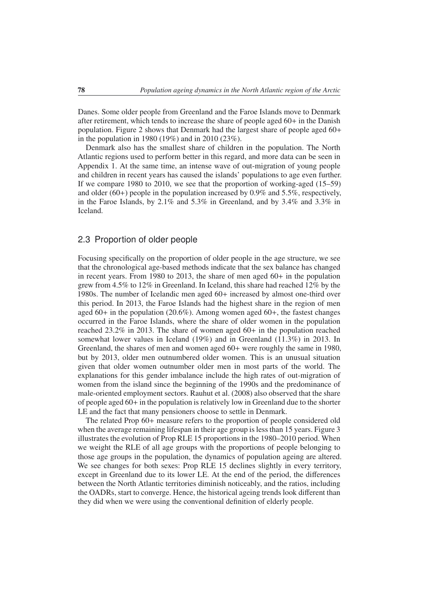Danes. Some older people from Greenland and the Faroe Islands move to Denmark after retirement, which tends to increase the share of people aged 60+ in the Danish population. Figure 2 shows that Denmark had the largest share of people aged 60+ in the population in 1980 (19%) and in 2010 (23%).

Denmark also has the smallest share of children in the population. The North Atlantic regions used to perform better in this regard, and more data can be seen in Appendix 1. At the same time, an intense wave of out-migration of young people and children in recent years has caused the islands' populations to age even further. If we compare 1980 to 2010, we see that the proportion of working-aged (15–59) and older  $(60+)$  people in the population increased by 0.9% and 5.5%, respectively, in the Faroe Islands, by 2.1% and 5.3% in Greenland, and by 3.4% and 3.3% in Iceland.

#### 2.3 Proportion of older people

Focusing specifically on the proportion of older people in the age structure, we see that the chronological age-based methods indicate that the sex balance has changed in recent years. From 1980 to 2013, the share of men aged  $60+$  in the population grew from 4.5% to 12% in Greenland. In Iceland, this share had reached 12% by the 1980s. The number of Icelandic men aged 60+ increased by almost one-third over this period. In 2013, the Faroe Islands had the highest share in the region of men aged 60+ in the population (20.6%). Among women aged 60+, the fastest changes occurred in the Faroe Islands, where the share of older women in the population reached 23.2% in 2013. The share of women aged 60+ in the population reached somewhat lower values in Iceland (19%) and in Greenland (11.3%) in 2013. In Greenland, the shares of men and women aged 60+ were roughly the same in 1980, but by 2013, older men outnumbered older women. This is an unusual situation given that older women outnumber older men in most parts of the world. The explanations for this gender imbalance include the high rates of out-migration of women from the island since the beginning of the 1990s and the predominance of male-oriented employment sectors. Rauhut et al. (2008) also observed that the share of people aged 60+ in the population is relatively low in Greenland due to the shorter LE and the fact that many pensioners choose to settle in Denmark.

The related Prop 60+ measure refers to the proportion of people considered old when the average remaining lifespan in their age group is less than 15 years. Figure 3 illustrates the evolution of Prop RLE 15 proportions in the 1980–2010 period. When we weight the RLE of all age groups with the proportions of people belonging to those age groups in the population, the dynamics of population ageing are altered. We see changes for both sexes: Prop RLE 15 declines slightly in every territory, except in Greenland due to its lower LE. At the end of the period, the differences between the North Atlantic territories diminish noticeably, and the ratios, including the OADRs, start to converge. Hence, the historical ageing trends look different than they did when we were using the conventional definition of elderly people.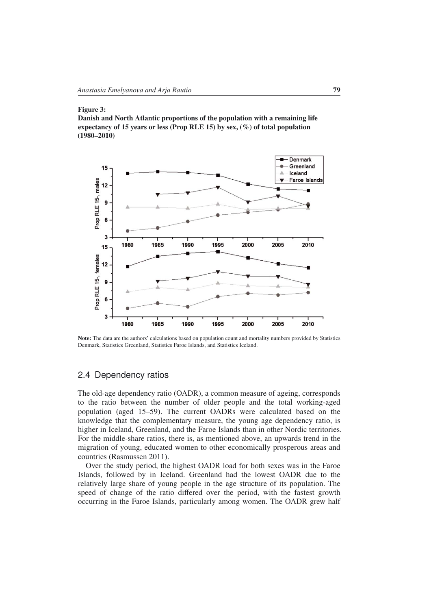#### Figure 3:

Danish and North Atlantic proportions of the population with a remaining life expectancy of 15 years or less (Prop RLE 15) by sex, (%) of total population (1980–2010)



Note: The data are the authors' calculations based on population count and mortality numbers provided by Statistics Denmark, Statistics Greenland, Statistics Faroe Islands, and Statistics Iceland.

#### 2.4 Dependency ratios

The old-age dependency ratio (OADR), a common measure of ageing, corresponds to the ratio between the number of older people and the total working-aged population (aged 15–59). The current OADRs were calculated based on the knowledge that the complementary measure, the young age dependency ratio, is higher in Iceland, Greenland, and the Faroe Islands than in other Nordic territories. For the middle-share ratios, there is, as mentioned above, an upwards trend in the migration of young, educated women to other economically prosperous areas and countries (Rasmussen 2011).

Over the study period, the highest OADR load for both sexes was in the Faroe Islands, followed by in Iceland. Greenland had the lowest OADR due to the relatively large share of young people in the age structure of its population. The speed of change of the ratio differed over the period, with the fastest growth occurring in the Faroe Islands, particularly among women. The OADR grew half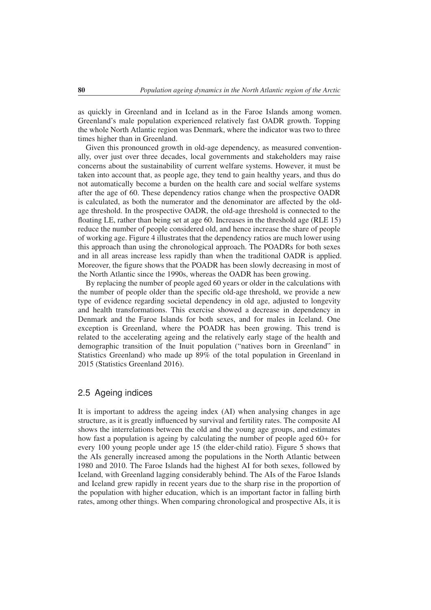as quickly in Greenland and in Iceland as in the Faroe Islands among women. Greenland's male population experienced relatively fast OADR growth. Topping the whole North Atlantic region was Denmark, where the indicator was two to three times higher than in Greenland.

Given this pronounced growth in old-age dependency, as measured conventionally, over just over three decades, local governments and stakeholders may raise concerns about the sustainability of current welfare systems. However, it must be taken into account that, as people age, they tend to gain healthy years, and thus do not automatically become a burden on the health care and social welfare systems after the age of 60. These dependency ratios change when the prospective OADR is calculated, as both the numerator and the denominator are affected by the oldage threshold. In the prospective OADR, the old-age threshold is connected to the floating LE, rather than being set at age 60. Increases in the threshold age (RLE 15) reduce the number of people considered old, and hence increase the share of people of working age. Figure 4 illustrates that the dependency ratios are much lower using this approach than using the chronological approach. The POADRs for both sexes and in all areas increase less rapidly than when the traditional OADR is applied. Moreover, the figure shows that the POADR has been slowly decreasing in most of the North Atlantic since the 1990s, whereas the OADR has been growing.

By replacing the number of people aged 60 years or older in the calculations with the number of people older than the specific old-age threshold, we provide a new type of evidence regarding societal dependency in old age, adjusted to longevity and health transformations. This exercise showed a decrease in dependency in Denmark and the Faroe Islands for both sexes, and for males in Iceland. One exception is Greenland, where the POADR has been growing. This trend is related to the accelerating ageing and the relatively early stage of the health and demographic transition of the Inuit population ("natives born in Greenland" in Statistics Greenland) who made up 89% of the total population in Greenland in 2015 (Statistics Greenland 2016).

# 2.5 Ageing indices

It is important to address the ageing index (AI) when analysing changes in age structure, as it is greatly influenced by survival and fertility rates. The composite AI shows the interrelations between the old and the young age groups, and estimates how fast a population is ageing by calculating the number of people aged 60+ for every 100 young people under age 15 (the elder-child ratio). Figure 5 shows that the AIs generally increased among the populations in the North Atlantic between 1980 and 2010. The Faroe Islands had the highest AI for both sexes, followed by Iceland, with Greenland lagging considerably behind. The AIs of the Faroe Islands and Iceland grew rapidly in recent years due to the sharp rise in the proportion of the population with higher education, which is an important factor in falling birth rates, among other things. When comparing chronological and prospective AIs, it is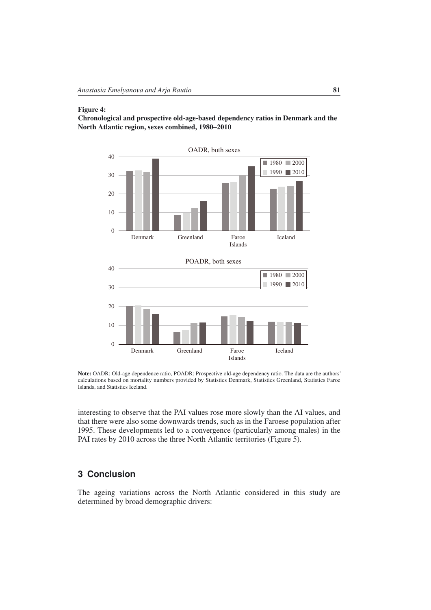#### Figure 4:

Chronological and prospective old-age-based dependency ratios in Denmark and the North Atlantic region, sexes combined, 1980–2010



Note: OADR: Old-age dependence ratio, POADR: Prospective old-age dependency ratio. The data are the authors' calculations based on mortality numbers provided by Statistics Denmark, Statistics Greenland, Statistics Faroe Islands, and Statistics Iceland.

interesting to observe that the PAI values rose more slowly than the AI values, and that there were also some downwards trends, such as in the Faroese population after 1995. These developments led to a convergence (particularly among males) in the PAI rates by 2010 across the three North Atlantic territories (Figure 5).

# **3 Conclusion**

The ageing variations across the North Atlantic considered in this study are determined by broad demographic drivers: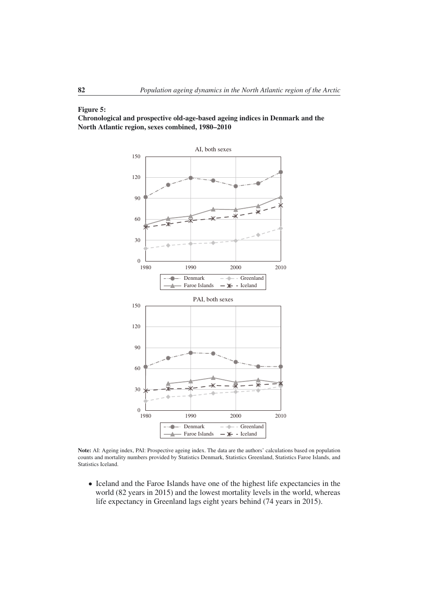#### Figure 5:

Chronological and prospective old-age-based ageing indices in Denmark and the North Atlantic region, sexes combined, 1980–2010



Note: AI: Ageing index, PAI: Prospective ageing index. The data are the authors' calculations based on population counts and mortality numbers provided by Statistics Denmark, Statistics Greenland, Statistics Faroe Islands, and Statistics Iceland.

• Iceland and the Faroe Islands have one of the highest life expectancies in the world (82 years in 2015) and the lowest mortality levels in the world, whereas life expectancy in Greenland lags eight years behind (74 years in 2015).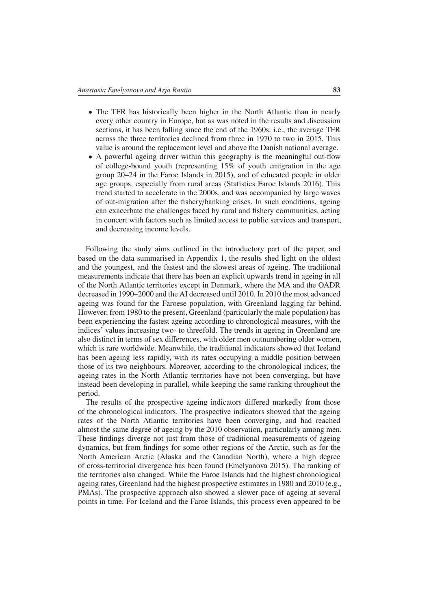- The TFR has historically been higher in the North Atlantic than in nearly every other country in Europe, but as was noted in the results and discussion sections, it has been falling since the end of the 1960s: i.e., the average TFR across the three territories declined from three in 1970 to two in 2015. This value is around the replacement level and above the Danish national average.
- A powerful ageing driver within this geography is the meaningful out-flow of college-bound youth (representing 15% of youth emigration in the age group 20–24 in the Faroe Islands in 2015), and of educated people in older age groups, especially from rural areas (Statistics Faroe Islands 2016). This trend started to accelerate in the 2000s, and was accompanied by large waves of out-migration after the fishery/banking crises. In such conditions, ageing can exacerbate the challenges faced by rural and fishery communities, acting in concert with factors such as limited access to public services and transport, and decreasing income levels.

Following the study aims outlined in the introductory part of the paper, and based on the data summarised in Appendix 1, the results shed light on the oldest and the youngest, and the fastest and the slowest areas of ageing. The traditional measurements indicate that there has been an explicit upwards trend in ageing in all of the North Atlantic territories except in Denmark, where the MA and the OADR decreased in 1990–2000 and the AI decreased until 2010. In 2010 the most advanced ageing was found for the Faroese population, with Greenland lagging far behind. However, from 1980 to the present, Greenland (particularly the male population) has been experiencing the fastest ageing according to chronological measures, with the indices' values increasing two- to threefold. The trends in ageing in Greenland are also distinct in terms of sex differences, with older men outnumbering older women, which is rare worldwide. Meanwhile, the traditional indicators showed that Iceland has been ageing less rapidly, with its rates occupying a middle position between those of its two neighbours. Moreover, according to the chronological indices, the ageing rates in the North Atlantic territories have not been converging, but have instead been developing in parallel, while keeping the same ranking throughout the period.

The results of the prospective ageing indicators differed markedly from those of the chronological indicators. The prospective indicators showed that the ageing rates of the North Atlantic territories have been converging, and had reached almost the same degree of ageing by the 2010 observation, particularly among men. These findings diverge not just from those of traditional measurements of ageing dynamics, but from findings for some other regions of the Arctic, such as for the North American Arctic (Alaska and the Canadian North), where a high degree of cross-territorial divergence has been found (Emelyanova 2015). The ranking of the territories also changed. While the Faroe Islands had the highest chronological ageing rates, Greenland had the highest prospective estimates in 1980 and 2010 (e.g., PMAs). The prospective approach also showed a slower pace of ageing at several points in time. For Iceland and the Faroe Islands, this process even appeared to be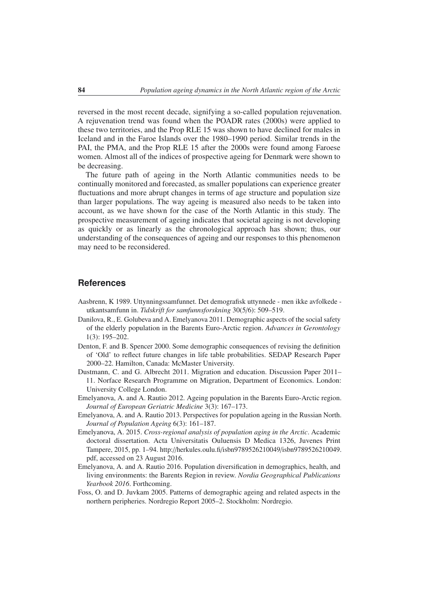reversed in the most recent decade, signifying a so-called population rejuvenation. A rejuvenation trend was found when the POADR rates (2000s) were applied to these two territories, and the Prop RLE 15 was shown to have declined for males in Iceland and in the Faroe Islands over the 1980–1990 period. Similar trends in the PAI, the PMA, and the Prop RLE 15 after the 2000s were found among Faroese women. Almost all of the indices of prospective ageing for Denmark were shown to be decreasing.

The future path of ageing in the North Atlantic communities needs to be continually monitored and forecasted, as smaller populations can experience greater fluctuations and more abrupt changes in terms of age structure and population size than larger populations. The way ageing is measured also needs to be taken into account, as we have shown for the case of the North Atlantic in this study. The prospective measurement of ageing indicates that societal ageing is not developing as quickly or as linearly as the chronological approach has shown; thus, our understanding of the consequences of ageing and our responses to this phenomenon may need to be reconsidered.

#### **References**

- Aasbrenn, K 1989. Uttynningssamfunnet. Det demografisk uttynnede men ikke avfolkede utkantsamfunn in. *Tidskrift for samfunnsforskning* 30(5/6): 509–519.
- Danilova, R., E. Golubeva and A. Emelyanova 2011. Demographic aspects of the social safety of the elderly population in the Barents Euro-Arctic region. *Advances in Gerontology* 1(3): 195–202.
- Denton, F. and B. Spencer 2000. Some demographic consequences of revising the definition of 'Old' to reflect future changes in life table probabilities. SEDAP Research Paper 2000–22. Hamilton, Canada: McMaster University.
- Dustmann, C. and G. Albrecht 2011. Migration and education. Discussion Paper 2011– 11. Norface Research Programme on Migration, Department of Economics. London: University College London.
- Emelyanova, A. and A. Rautio 2012. Ageing population in the Barents Euro-Arctic region. *Journal of European Geriatric Medicine* 3(3): 167–173.
- Emelyanova, A. and A. Rautio 2013. Perspectives for population ageing in the Russian North. *Journal of Population Ageing* 6(3): 161–187.
- Emelyanova, A. 2015. *Cross-regional analysis of population aging in the Arctic*. Academic doctoral dissertation. Acta Universitatis Ouluensis D Medica 1326, Juvenes Print Tampere, 2015, pp. 1–94. http://herkules.oulu.fi/isbn9789526210049/isbn9789526210049. pdf, accessed on 23 August 2016.
- Emelyanova, A. and A. Rautio 2016. Population diversification in demographics, health, and living environments: the Barents Region in review. *Nordia Geographical Publications Yearbook 2016*. Forthcoming.
- Foss, O. and D. Juvkam 2005. Patterns of demographic ageing and related aspects in the northern peripheries. Nordregio Report 2005–2. Stockholm: Nordregio.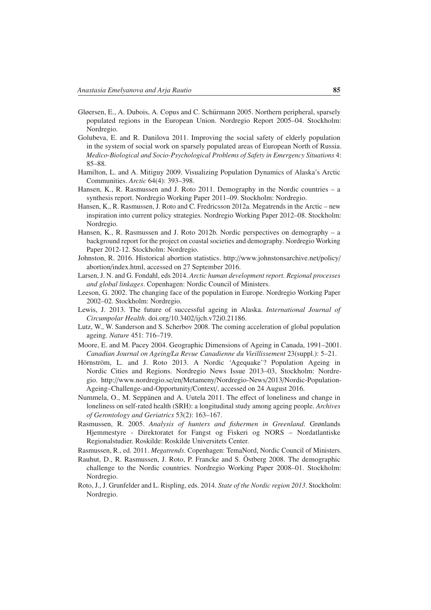- Gløersen, E., A. Dubois, A. Copus and C. Schürmann 2005. Northern peripheral, sparsely populated regions in the European Union. Nordregio Report 2005–04. Stockholm: Nordregio.
- Golubeva, E. and R. Danilova 2011. Improving the social safety of elderly population in the system of social work on sparsely populated areas of European North of Russia. *Medico-Biological and Socio-Psychological Problems of Safety in Emergency Situations* 4: 85–88.
- Hamilton, L. and A. Mitiguy 2009. Visualizing Population Dynamics of Alaska's Arctic Communities. *Arctic* 64(4): 393–398.
- Hansen, K., R. Rasmussen and J. Roto 2011. Demography in the Nordic countries a synthesis report. Nordregio Working Paper 2011–09. Stockholm: Nordregio.
- Hansen, K., R. Rasmussen, J. Roto and C. Fredricsson 2012a. Megatrends in the Arctic new inspiration into current policy strategies. Nordregio Working Paper 2012–08. Stockholm: Nordregio.
- Hansen, K., R. Rasmussen and J. Roto 2012b. Nordic perspectives on demography a background report for the project on coastal societies and demography. Nordregio Working Paper 2012-12. Stockholm: Nordregio.
- Johnston, R. 2016. Historical abortion statistics. http://www.johnstonsarchive.net/policy/ abortion/index.html, accessed on 27 September 2016.
- Larsen, J. N. and G. Fondahl, eds 2014. *Arctic human development report. Regional processes and global linkages*. Copenhagen: Nordic Council of Ministers.
- Leeson, G. 2002. The changing face of the population in Europe. Nordregio Working Paper 2002–02. Stockholm: Nordregio.
- Lewis, J. 2013. The future of successful ageing in Alaska. *International Journal of Circumpolar Health*. doi.org/10.3402/ijch.v72i0.21186.
- Lutz, W., W. Sanderson and S. Scherbov 2008. The coming acceleration of global population ageing. *Nature* 451: 716–719.
- Moore, E. and M. Pacey 2004. Geographic Dimensions of Ageing in Canada, 1991–2001. *Canadian Journal on Ageing*/*La Revue Canadienne du Vieillissement* 23(suppl.): 5–21.
- Hörnström, L. and J. Roto 2013. A Nordic 'Agequake'? Population Ageing in Nordic Cities and Regions. Nordregio News Issue 2013–03, Stockholm: Nordregio. http://www.nordregio.se/en/Metameny/Nordregio-News/2013/Nordic-Population-Ageing–Challenge-and-Opportunity/Context/, accessed on 24 August 2016.
- Nummela, O., M. Seppanen and A. Uutela 2011. The effect of loneliness and change in loneliness on self-rated health (SRH): a longitudinal study among ageing people. *Archives of Gerontology and Geriatrics* 53(2): 163–167.
- Rasmussen, R. 2005. *Analysis of hunters and fishermen in Greenland*. Grønlands Hjemmestyre - Direktoratet for Fangst og Fiskeri og NORS – Nordatlantiske Regionalstudier. Roskilde: Roskilde Universitets Center.
- Rasmussen, R., ed. 2011. *Megatrends*. Copenhagen: TemaNord, Nordic Council of Ministers.
- Rauhut, D., R. Rasmussen, J. Roto, P. Francke and S. Ostberg 2008. The demographic ¨ challenge to the Nordic countries. Nordregio Working Paper 2008–01. Stockholm: Nordregio.
- Roto, J., J. Grunfelder and L. Rispling, eds. 2014. *State of the Nordic region 2013*. Stockholm: Nordregio.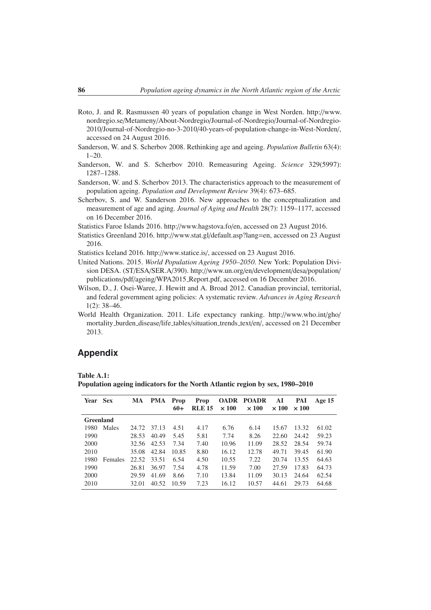- Roto, J. and R. Rasmussen 40 years of population change in West Norden. http://www. nordregio.se/Metameny/About-Nordregio/Journal-of-Nordregio/Journal-of-Nordregio-2010/Journal-of-Nordregio-no-3-2010/40-years-of-population-change-in-West-Norden/, accessed on 24 August 2016.
- Sanderson, W. and S. Scherbov 2008. Rethinking age and ageing. *Population Bulletin* 63(4):  $1-20.$
- Sanderson, W. and S. Scherbov 2010. Remeasuring Ageing. *Science* 329(5997): 1287–1288.
- Sanderson, W. and S. Scherbov 2013. The characteristics approach to the measurement of population ageing. *Population and Development Review* 39(4): 673–685.
- Scherbov, S. and W. Sanderson 2016. New approaches to the conceptualization and measurement of age and aging. *Journal of Aging and Health* 28(7): 1159–1177, accessed on 16 December 2016.
- Statistics Faroe Islands 2016. http://www.hagstova.fo/en, accessed on 23 August 2016.
- Statistics Greenland 2016. http://www.stat.gl/default.asp?lang=en, accessed on 23 August 2016.

Statistics Iceland 2016. http://www.statice.is/, accessed on 23 August 2016.

- United Nations. 2015. *World Population Ageing 1950–2050*. New York: Population Division DESA. (ST/ESA/SER.A/390). http://www.un.org/en/development/desa/population/ publications/pdf/ageing/WPA2015 Report.pdf, accessed on 16 December 2016.
- Wilson, D., J. Osei-Waree, J. Hewitt and A. Broad 2012. Canadian provincial, territorial, and federal government aging policies: A systematic review. *Advances in Aging Research* 1(2): 38–46.
- World Health Organization. 2011. Life expectancy ranking. http://www.who.int/gho/ mortality burden disease/life tables/situation trends text/en/, accessed on 21 December 2013.

#### **Appendix**

Table A.1:

Population ageing indicators for the North Atlantic region by sex, 1980–2010

| Year Sex  |         | MA    | <b>PMA</b> | <b>Prop</b><br>$60+$ | <b>Prop</b><br><b>RLE 15</b> | <b>OADR</b><br>$\times 100$ | POADR<br>$\times 100$ | AI<br>$\times 100$ | PAI<br>$\times 100$ | Age $15$ |
|-----------|---------|-------|------------|----------------------|------------------------------|-----------------------------|-----------------------|--------------------|---------------------|----------|
| Greenland |         |       |            |                      |                              |                             |                       |                    |                     |          |
| 1980      | Males   | 24.72 | 37.13      | 4.51                 | 4.17                         | 6.76                        | 6.14                  | 15.67              | 13.32               | 61.02    |
| 1990      |         | 28.53 | 40.49      | 5.45                 | 5.81                         | 7.74                        | 8.26                  | 22.60              | 24.42               | 59.23    |
| 2000      |         | 32.56 | 42.53      | 7.34                 | 7.40                         | 10.96                       | 11.09                 | 28.52              | 28.54               | 59.74    |
| 2010      |         | 35.08 | 42.84      | 10.85                | 8.80                         | 16.12                       | 12.78                 | 49.71              | 39.45               | 61.90    |
| 1980      | Females | 22.52 | 33.51      | 6.54                 | 4.50                         | 10.55                       | 7.22                  | 20.74              | 13.55               | 64.63    |
| 1990      |         | 26.81 | 36.97      | 7.54                 | 4.78                         | 11.59                       | 7.00                  | 27.59              | 17.83               | 64.73    |
| 2000      |         | 29.59 | 41.69      | 8.66                 | 7.10                         | 13.84                       | 11.09                 | 30.13              | 24.64               | 62.54    |
| 2010      |         | 32.01 | 40.52      | 10.59                | 7.23                         | 16.12                       | 10.57                 | 44.61              | 29.73               | 64.68    |